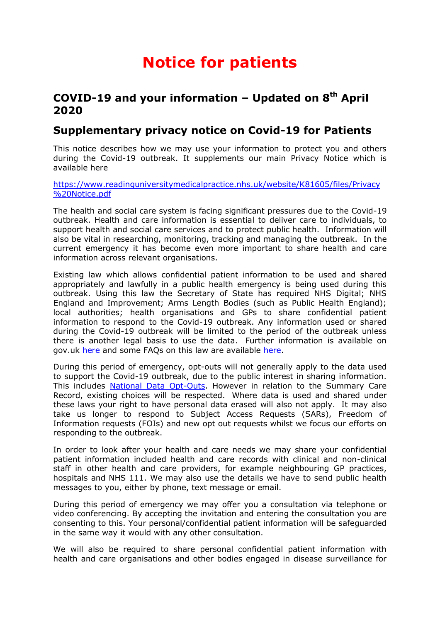## **Notice for patients**

## **COVID-19 and your information – Updated on 8th April 2020**

## **Supplementary privacy notice on Covid-19 for Patients**

This notice describes how we may use your information to protect you and others during the Covid-19 outbreak. It supplements our main Privacy Notice which is available here

[https://www.readinguniversitymedicalpractice.nhs.uk/website/K81605/files/Privacy](https://www.readinguniversitymedicalpractice.nhs.uk/website/K81605/files/Privacy%20Notice.pdf) [%20Notice.pdf](https://www.readinguniversitymedicalpractice.nhs.uk/website/K81605/files/Privacy%20Notice.pdf)

The health and social care system is facing significant pressures due to the Covid-19 outbreak. Health and care information is essential to deliver care to individuals, to support health and social care services and to protect public health. Information will also be vital in researching, monitoring, tracking and managing the outbreak. In the current emergency it has become even more important to share health and care information across relevant organisations.

Existing law which allows confidential patient information to be used and shared appropriately and lawfully in a public health emergency is being used during this outbreak. Using this law the Secretary of State has required NHS Digital; NHS England and Improvement; Arms Length Bodies (such as Public Health England); local authorities; health organisations and GPs to share confidential patient information to respond to the Covid-19 outbreak. Any information used or shared during the Covid-19 outbreak will be limited to the period of the outbreak unless there is another legal basis to use the data. Further information is available on gov.uk [here](https://www.gov.uk/government/publications/coronavirus-covid-19-notification-of-data-controllers-to-share-information) and some FAQs on this law are available [here.](https://www.nhsx.nhs.uk/key-information-and-tools/information-governance-guidance/ig-professionals)

During this period of emergency, opt-outs will not generally apply to the data used to support the Covid-19 outbreak, due to the public interest in sharing information. This includes [National Data Opt-Outs.](https://www.nhs.uk/your-nhs-data-matters/) However in relation to the Summary Care Record, existing choices will be respected. Where data is used and shared under these laws your right to have personal data erased will also not apply. It may also take us longer to respond to Subject Access Requests (SARs), Freedom of Information requests (FOIs) and new opt out requests whilst we focus our efforts on responding to the outbreak.

In order to look after your health and care needs we may share your confidential patient information included health and care records with clinical and non-clinical staff in other health and care providers, for example neighbouring GP practices, hospitals and NHS 111. We may also use the details we have to send public health messages to you, either by phone, text message or email.

During this period of emergency we may offer you a consultation via telephone or video conferencing. By accepting the invitation and entering the consultation you are consenting to this. Your personal/confidential patient information will be safeguarded in the same way it would with any other consultation.

We will also be required to share personal confidential patient information with health and care organisations and other bodies engaged in disease surveillance for